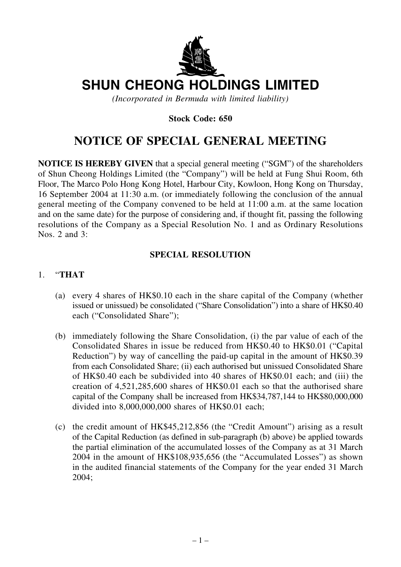

# **SHUN CHEONG HOLDINGS LIMITED**

*(Incorporated in Bermuda with limited liability)*

# **Stock Code: 650**

# **NOTICE OF SPECIAL GENERAL MEETING**

**NOTICE IS HEREBY GIVEN** that a special general meeting ("SGM") of the shareholders of Shun Cheong Holdings Limited (the "Company") will be held at Fung Shui Room, 6th Floor, The Marco Polo Hong Kong Hotel, Harbour City, Kowloon, Hong Kong on Thursday, 16 September 2004 at 11:30 a.m. (or immediately following the conclusion of the annual general meeting of the Company convened to be held at 11:00 a.m. at the same location and on the same date) for the purpose of considering and, if thought fit, passing the following resolutions of the Company as a Special Resolution No. 1 and as Ordinary Resolutions Nos. 2 and 3:

# **SPECIAL RESOLUTION**

#### 1. "**THAT**

- (a) every 4 shares of HK\$0.10 each in the share capital of the Company (whether issued or unissued) be consolidated ("Share Consolidation") into a share of HK\$0.40 each ("Consolidated Share");
- (b) immediately following the Share Consolidation, (i) the par value of each of the Consolidated Shares in issue be reduced from HK\$0.40 to HK\$0.01 ("Capital Reduction") by way of cancelling the paid-up capital in the amount of HK\$0.39 from each Consolidated Share; (ii) each authorised but unissued Consolidated Share of HK\$0.40 each be subdivided into 40 shares of HK\$0.01 each; and (iii) the creation of 4,521,285,600 shares of HK\$0.01 each so that the authorised share capital of the Company shall be increased from HK\$34,787,144 to HK\$80,000,000 divided into 8,000,000,000 shares of HK\$0.01 each;
- (c) the credit amount of HK\$45,212,856 (the "Credit Amount") arising as a result of the Capital Reduction (as defined in sub-paragraph (b) above) be applied towards the partial elimination of the accumulated losses of the Company as at 31 March 2004 in the amount of HK\$108,935,656 (the "Accumulated Losses") as shown in the audited financial statements of the Company for the year ended 31 March 2004;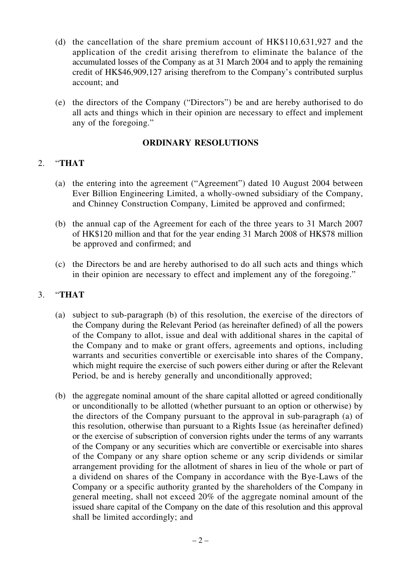- (d) the cancellation of the share premium account of HK\$110,631,927 and the application of the credit arising therefrom to eliminate the balance of the accumulated losses of the Company as at 31 March 2004 and to apply the remaining credit of HK\$46,909,127 arising therefrom to the Company's contributed surplus account; and
- (e) the directors of the Company ("Directors") be and are hereby authorised to do all acts and things which in their opinion are necessary to effect and implement any of the foregoing."

#### **ORDINARY RESOLUTIONS**

# 2. "**THAT**

- (a) the entering into the agreement ("Agreement") dated 10 August 2004 between Ever Billion Engineering Limited, a wholly-owned subsidiary of the Company, and Chinney Construction Company, Limited be approved and confirmed;
- (b) the annual cap of the Agreement for each of the three years to 31 March 2007 of HK\$120 million and that for the year ending 31 March 2008 of HK\$78 million be approved and confirmed; and
- (c) the Directors be and are hereby authorised to do all such acts and things which in their opinion are necessary to effect and implement any of the foregoing."

# 3. "**THAT**

- (a) subject to sub-paragraph (b) of this resolution, the exercise of the directors of the Company during the Relevant Period (as hereinafter defined) of all the powers of the Company to allot, issue and deal with additional shares in the capital of the Company and to make or grant offers, agreements and options, including warrants and securities convertible or exercisable into shares of the Company, which might require the exercise of such powers either during or after the Relevant Period, be and is hereby generally and unconditionally approved;
- (b) the aggregate nominal amount of the share capital allotted or agreed conditionally or unconditionally to be allotted (whether pursuant to an option or otherwise) by the directors of the Company pursuant to the approval in sub-paragraph (a) of this resolution, otherwise than pursuant to a Rights Issue (as hereinafter defined) or the exercise of subscription of conversion rights under the terms of any warrants of the Company or any securities which are convertible or exercisable into shares of the Company or any share option scheme or any scrip dividends or similar arrangement providing for the allotment of shares in lieu of the whole or part of a dividend on shares of the Company in accordance with the Bye-Laws of the Company or a specific authority granted by the shareholders of the Company in general meeting, shall not exceed 20% of the aggregate nominal amount of the issued share capital of the Company on the date of this resolution and this approval shall be limited accordingly; and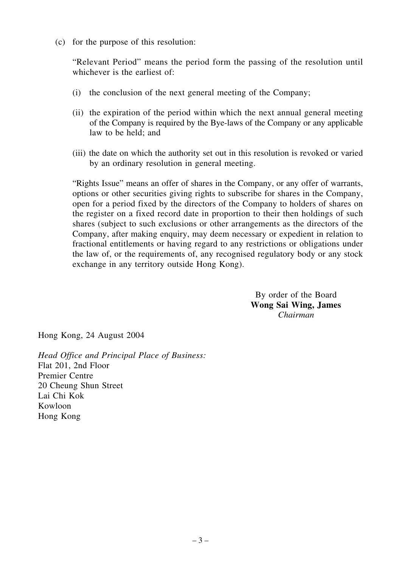(c) for the purpose of this resolution:

"Relevant Period" means the period form the passing of the resolution until whichever is the earliest of:

- (i) the conclusion of the next general meeting of the Company;
- (ii) the expiration of the period within which the next annual general meeting of the Company is required by the Bye-laws of the Company or any applicable law to be held; and
- (iii) the date on which the authority set out in this resolution is revoked or varied by an ordinary resolution in general meeting.

"Rights Issue" means an offer of shares in the Company, or any offer of warrants, options or other securities giving rights to subscribe for shares in the Company, open for a period fixed by the directors of the Company to holders of shares on the register on a fixed record date in proportion to their then holdings of such shares (subject to such exclusions or other arrangements as the directors of the Company, after making enquiry, may deem necessary or expedient in relation to fractional entitlements or having regard to any restrictions or obligations under the law of, or the requirements of, any recognised regulatory body or any stock exchange in any territory outside Hong Kong).

> By order of the Board **Wong Sai Wing, James** *Chairman*

Hong Kong, 24 August 2004

*Head Office and Principal Place of Business:* Flat 201, 2nd Floor Premier Centre 20 Cheung Shun Street Lai Chi Kok Kowloon Hong Kong